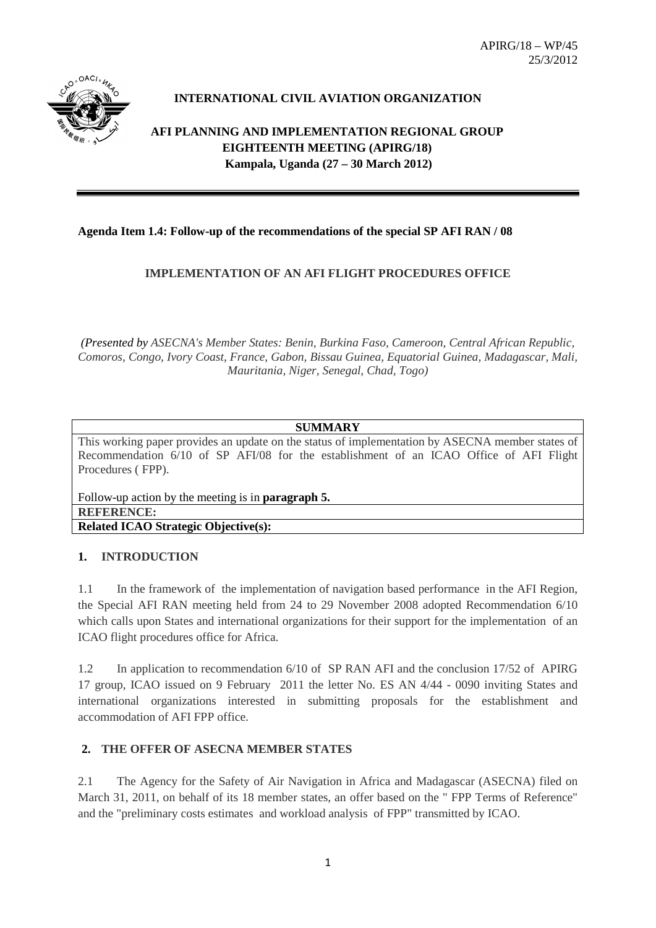

# **INTERNATIONAL CIVIL AVIATION ORGANIZATION**

**AFI PLANNING AND IMPLEMENTATION REGIONAL GROUP EIGHTEENTH MEETING (APIRG/18) Kampala, Uganda (27 – 30 March 2012)**

## **Agenda Item 1.4: Follow-up of the recommendations of the special SP AFI RAN / 08**

## **IMPLEMENTATION OF AN AFI FLIGHT PROCEDURES OFFICE**

*(Presented by ASECNA's Member States: Benin, Burkina Faso, Cameroon, Central African Republic, Comoros, Congo, Ivory Coast, France, Gabon, Bissau Guinea, Equatorial Guinea, Madagascar, Mali, Mauritania, Niger, Senegal, Chad, Togo)*

## **SUMMARY**

This working paper provides an update on the status of implementation by ASECNA member states of Recommendation 6/10 of SP AFI/08 for the establishment of an ICAO Office of AFI Flight Procedures ( FPP).

Follow-up action by the meeting is in **paragraph 5. REFERENCE: Related ICAO Strategic Objective(s):** 

## **1. INTRODUCTION**

1.1 In the framework of the implementation of navigation based performance in the AFI Region, the Special AFI RAN meeting held from 24 to 29 November 2008 adopted Recommendation 6/10 which calls upon States and international organizations for their support for the implementation of an ICAO flight procedures office for Africa.

1.2 In application to recommendation 6/10 of SP RAN AFI and the conclusion 17/52 of APIRG 17 group, ICAO issued on 9 February 2011 the letter No. ES AN 4/44 - 0090 inviting States and international organizations interested in submitting proposals for the establishment and accommodation of AFI FPP office.

## **2. THE OFFER OF ASECNA MEMBER STATES**

2.1 The Agency for the Safety of Air Navigation in Africa and Madagascar (ASECNA) filed on March 31, 2011, on behalf of its 18 member states, an offer based on the " FPP Terms of Reference" and the "preliminary costs estimates and workload analysis of FPP" transmitted by ICAO.